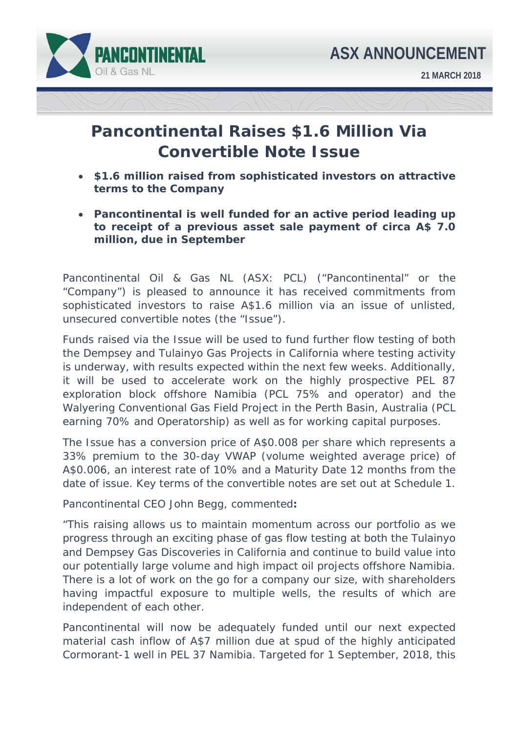

## **Pancontinental Raises \$1.6 Million Via Convertible Note Issue**

- **\$1.6 million raised from sophisticated investors on attractive terms to the Company**
- **Pancontinental is well funded for an active period leading up to receipt of a previous asset sale payment of circa A\$ 7.0 million, due in September**

Pancontinental Oil & Gas NL (ASX: PCL) ("Pancontinental" or the "Company") is pleased to announce it has received commitments from sophisticated investors to raise A\$1.6 million via an issue of unlisted, unsecured convertible notes (the "Issue").

Funds raised via the Issue will be used to fund further flow testing of both the Dempsey and Tulainyo Gas Projects in California where testing activity is underway, with results expected within the next few weeks. Additionally, it will be used to accelerate work on the highly prospective PEL 87 exploration block offshore Namibia (PCL 75% and operator) and the Walyering Conventional Gas Field Project in the Perth Basin, Australia (PCL earning 70% and Operatorship) as well as for working capital purposes.

The Issue has a conversion price of A\$0.008 per share which represents a 33% premium to the 30-day VWAP (volume weighted average price) of A\$0.006, an interest rate of 10% and a Maturity Date 12 months from the date of issue. Key terms of the convertible notes are set out at Schedule 1.

Pancontinental CEO John Begg, commented**:** 

*"This raising allows us to maintain momentum across our portfolio as we progress through an exciting phase of gas flow testing at both the Tulainyo and Dempsey Gas Discoveries in California and continue to build value into our potentially large volume and high impact oil projects offshore Namibia. There is a lot of work on the go for a company our size, with shareholders having impactful exposure to multiple wells, the results of which are independent of each other.* 

*Pancontinental will now be adequately funded until our next expected material cash inflow of A\$7 million due at spud of the highly anticipated Cormorant-1 well in PEL 37 Namibia. Targeted for 1 September, 2018, this*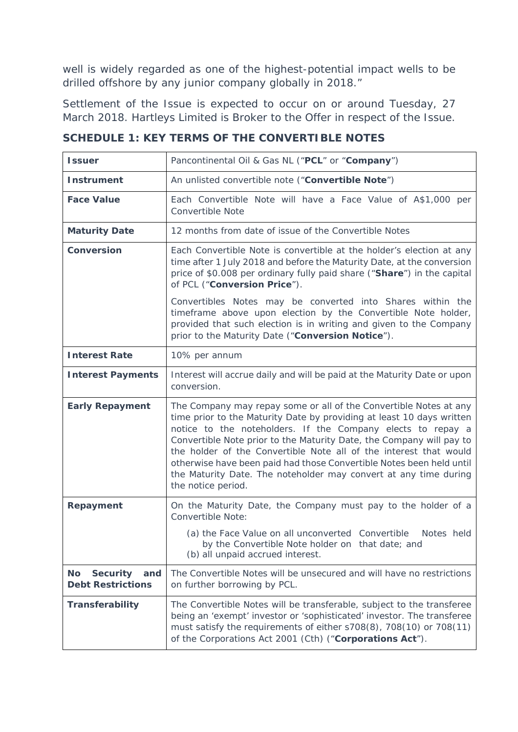*well is widely regarded as one of the highest-potential impact wells to be drilled offshore by any junior company globally in 2018."* 

Settlement of the Issue is expected to occur on or around Tuesday, 27 March 2018. Hartleys Limited is Broker to the Offer in respect of the Issue.

| <b>Issuer</b>                                                   | Pancontinental Oil & Gas NL ("PCL" or "Company")                                                                                                                                                                                                                                                                                                                                                                                                                                                                         |
|-----------------------------------------------------------------|--------------------------------------------------------------------------------------------------------------------------------------------------------------------------------------------------------------------------------------------------------------------------------------------------------------------------------------------------------------------------------------------------------------------------------------------------------------------------------------------------------------------------|
| <b>Instrument</b>                                               | An unlisted convertible note ("Convertible Note")                                                                                                                                                                                                                                                                                                                                                                                                                                                                        |
| <b>Face Value</b>                                               | Each Convertible Note will have a Face Value of A\$1,000 per<br><b>Convertible Note</b>                                                                                                                                                                                                                                                                                                                                                                                                                                  |
| <b>Maturity Date</b>                                            | 12 months from date of issue of the Convertible Notes                                                                                                                                                                                                                                                                                                                                                                                                                                                                    |
| <b>Conversion</b>                                               | Each Convertible Note is convertible at the holder's election at any<br>time after 1 July 2018 and before the Maturity Date, at the conversion<br>price of \$0.008 per ordinary fully paid share ("Share") in the capital<br>of PCL ("Conversion Price").                                                                                                                                                                                                                                                                |
|                                                                 | Convertibles Notes may be converted into Shares within the<br>timeframe above upon election by the Convertible Note holder,<br>provided that such election is in writing and given to the Company<br>prior to the Maturity Date ("Conversion Notice").                                                                                                                                                                                                                                                                   |
| <b>Interest Rate</b>                                            | 10% per annum                                                                                                                                                                                                                                                                                                                                                                                                                                                                                                            |
| <b>Interest Payments</b>                                        | Interest will accrue daily and will be paid at the Maturity Date or upon<br>conversion.                                                                                                                                                                                                                                                                                                                                                                                                                                  |
| <b>Early Repayment</b>                                          | The Company may repay some or all of the Convertible Notes at any<br>time prior to the Maturity Date by providing at least 10 days written<br>notice to the noteholders. If the Company elects to repay a<br>Convertible Note prior to the Maturity Date, the Company will pay to<br>the holder of the Convertible Note all of the interest that would<br>otherwise have been paid had those Convertible Notes been held until<br>the Maturity Date. The noteholder may convert at any time during<br>the notice period. |
| Repayment                                                       | On the Maturity Date, the Company must pay to the holder of a<br>Convertible Note:                                                                                                                                                                                                                                                                                                                                                                                                                                       |
|                                                                 | (a) the Face Value on all unconverted Convertible<br>Notes held<br>by the Convertible Note holder on that date; and<br>(b) all unpaid accrued interest.                                                                                                                                                                                                                                                                                                                                                                  |
| <b>Security</b><br><b>No</b><br>and<br><b>Debt Restrictions</b> | The Convertible Notes will be unsecured and will have no restrictions<br>on further borrowing by PCL.                                                                                                                                                                                                                                                                                                                                                                                                                    |
| <b>Transferability</b>                                          | The Convertible Notes will be transferable, subject to the transferee<br>being an 'exempt' investor or 'sophisticated' investor. The transferee<br>must satisfy the requirements of either s708(8), 708(10) or 708(11)<br>of the Corporations Act 2001 (Cth) ("Corporations Act").                                                                                                                                                                                                                                       |

**SCHEDULE 1: KEY TERMS OF THE CONVERTIBLE NOTES**